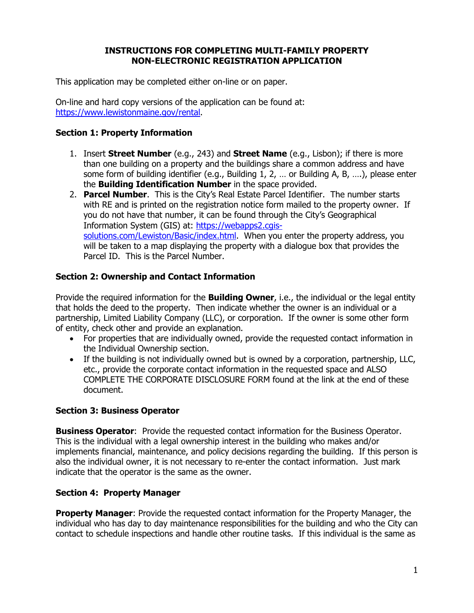#### **INSTRUCTIONS FOR COMPLETING MULTI-FAMILY PROPERTY NON-ELECTRONIC REGISTRATION APPLICATION**

This application may be completed either on-line or on paper.

On-line and hard copy versions of the application can be found at: [https://www.lewistonmaine.gov/rental.](https://www.lewistonmaine.gov/rental)

# **Section 1: Property Information**

- 1. Insert **Street Number** (e.g., 243) and **Street Name** (e.g., Lisbon); if there is more than one building on a property and the buildings share a common address and have some form of building identifier (e.g., Building 1, 2, … or Building A, B, ….), please enter the **Building Identification Number** in the space provided.
- 2. **Parcel Number**. This is the City's Real Estate Parcel Identifier. The number starts with RE and is printed on the registration notice form mailed to the property owner. If you do not have that number, it can be found through the City's Geographical Information System (GIS) at: [https://webapps2.cgis](https://webapps2.cgis-solutions.com/Lewiston/Basic/index.html)[solutions.com/Lewiston/Basic/index.html.](https://webapps2.cgis-solutions.com/Lewiston/Basic/index.html) When you enter the property address, you will be taken to a map displaying the property with a dialogue box that provides the Parcel ID. This is the Parcel Number.

# **Section 2: Ownership and Contact Information**

Provide the required information for the **Building Owner**, i.e., the individual or the legal entity that holds the deed to the property. Then indicate whether the owner is an individual or a partnership, Limited Liability Company (LLC), or corporation. If the owner is some other form of entity, check other and provide an explanation.

- For properties that are individually owned, provide the requested contact information in the Individual Ownership section.
- If the building is not individually owned but is owned by a corporation, partnership, LLC, etc., provide the corporate contact information in the requested space and ALSO COMPLETE THE CORPORATE DISCLOSURE FORM found at the link at the end of these document.

#### **Section 3: Business Operator**

**Business Operator**: Provide the requested contact information for the Business Operator. This is the individual with a legal ownership interest in the building who makes and/or implements financial, maintenance, and policy decisions regarding the building. If this person is also the individual owner, it is not necessary to re-enter the contact information. Just mark indicate that the operator is the same as the owner.

#### **Section 4: Property Manager**

**Property Manager:** Provide the requested contact information for the Property Manager, the individual who has day to day maintenance responsibilities for the building and who the City can contact to schedule inspections and handle other routine tasks. If this individual is the same as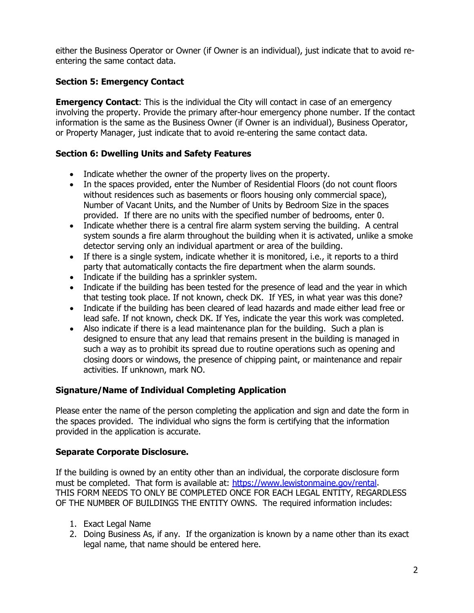either the Business Operator or Owner (if Owner is an individual), just indicate that to avoid reentering the same contact data.

# **Section 5: Emergency Contact**

**Emergency Contact:** This is the individual the City will contact in case of an emergency involving the property. Provide the primary after-hour emergency phone number. If the contact information is the same as the Business Owner (if Owner is an individual), Business Operator, or Property Manager, just indicate that to avoid re-entering the same contact data.

# **Section 6: Dwelling Units and Safety Features**

- Indicate whether the owner of the property lives on the property.
- In the spaces provided, enter the Number of Residential Floors (do not count floors without residences such as basements or floors housing only commercial space), Number of Vacant Units, and the Number of Units by Bedroom Size in the spaces provided. If there are no units with the specified number of bedrooms, enter 0.
- Indicate whether there is a central fire alarm system serving the building. A central system sounds a fire alarm throughout the building when it is activated, unlike a smoke detector serving only an individual apartment or area of the building.
- If there is a single system, indicate whether it is monitored, i.e., it reports to a third party that automatically contacts the fire department when the alarm sounds.
- Indicate if the building has a sprinkler system.
- Indicate if the building has been tested for the presence of lead and the year in which that testing took place. If not known, check DK. If YES, in what year was this done?
- Indicate if the building has been cleared of lead hazards and made either lead free or lead safe. If not known, check DK. If Yes, indicate the year this work was completed.
- Also indicate if there is a lead maintenance plan for the building. Such a plan is designed to ensure that any lead that remains present in the building is managed in such a way as to prohibit its spread due to routine operations such as opening and closing doors or windows, the presence of chipping paint, or maintenance and repair activities. If unknown, mark NO.

# **Signature/Name of Individual Completing Application**

Please enter the name of the person completing the application and sign and date the form in the spaces provided. The individual who signs the form is certifying that the information provided in the application is accurate.

# **Separate Corporate Disclosure.**

If the building is owned by an entity other than an individual, the corporate disclosure form must be completed. That form is available at: [https://www.lewistonmaine.gov/rental.](https://www.lewistonmaine.gov/rental) THIS FORM NEEDS TO ONLY BE COMPLETED ONCE FOR EACH LEGAL ENTITY, REGARDLESS OF THE NUMBER OF BUILDINGS THE ENTITY OWNS. The required information includes:

- 1. Exact Legal Name
- 2. Doing Business As, if any. If the organization is known by a name other than its exact legal name, that name should be entered here.